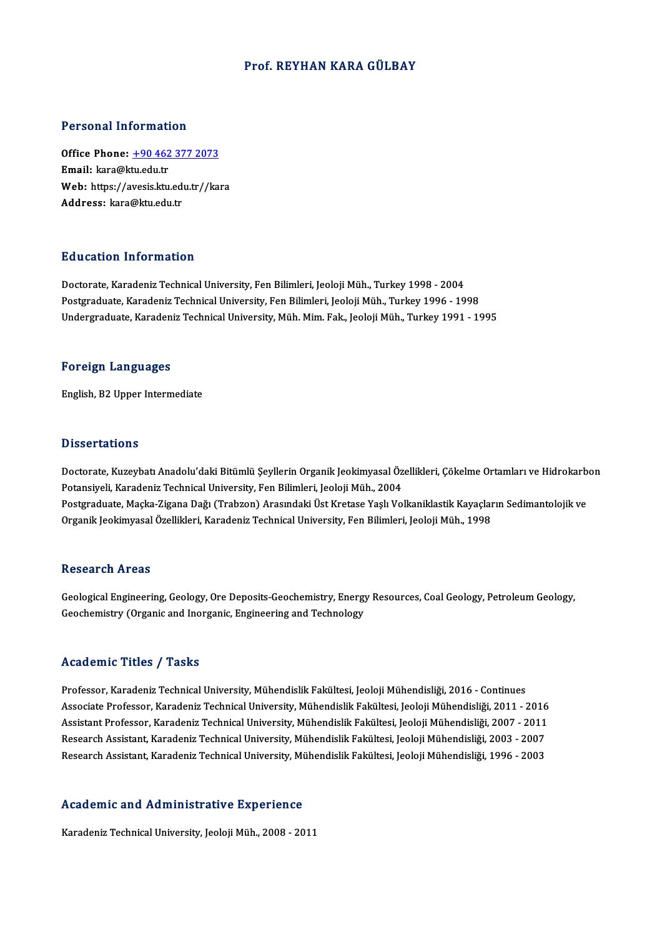## Prof. REYHAN KARA GÜLBAY

## Personal Information

Personal Information<br>Office Phone: <u>+90 462 377 2073</u><br>Email: kara@ktu edu tr Fersonar missimal:<br>Office Phone: <u>+90 462</u><br>Email: kara@ktu.edu.tr Office Phone: <u>+90 462 377 2073</u><br>Email: kara@ktu.edu.tr<br>Web: https://a[vesis.ktu.edu.tr//ka](tel:+90 462 377 2073)ra<br>Address. kara@ktu.edu.tr Email: kara@ktu.edu.tr<br>Web: https://avesis.ktu.edu.tr//kara<br>Address: kara@ktu.edu.tr

## Education Information

Doctorate, Karadeniz Technical University, Fen Bilimleri, Jeoloji Müh., Turkey 1998 - 2004 Postgraduate, Karadeniz Technical University, Fen Bilimleri, Jeoloji Müh., Turkey 1996 - 1998 Undergraduate, Karadeniz Technical University, Müh. Mim. Fak., Jeoloji Müh., Turkey 1991 - 1995

### Foreign Languages

English,B2Upper Intermediate

### **Dissertations**

Doctorate, Kuzeybatı Anadolu'daki Bitümlü Şeyllerin Organik Jeokimyasal Özellikleri, Çökelme Ortamları ve Hidrokarbon Potansiyeli, Karadeniz Technical University, Fen Bilimleri, Jeoloji Müh., 2004 Doctorate, Kuzeybatı Anadolu'daki Bitümlü Şeyllerin Organik Jeokimyasal Özellikleri, Çökelme Ortamları ve Hidrokarb<br>Potansiyeli, Karadeniz Technical University, Fen Bilimleri, Jeoloji Müh., 2004<br>Postgraduate, Maçka-Zigana Potansiyeli, Karadeniz Technical University, Fen Bilimleri, Jeoloji Müh., 2004<br>Postgraduate, Maçka-Zigana Dağı (Trabzon) Arasındaki Üst Kretase Yaşlı Volkaniklastik Kayaçlar<br>Organik Jeokimyasal Özellikleri, Karadeniz Techn Organik Jeokimyasal Özellikleri, Karadeniz Technical University, Fen Bilimleri, Jeoloji Müh., 1998<br>Research Areas

Geological Engineering, Geology, Ore Deposits-Geochemistry, Energy Resources, Coal Geology, Petroleum Geology, Geochemistry (Organic and Inorganic, Engineering and Technology

## Academic Titles / Tasks

Professor, Karadeniz Technical University, Mühendislik Fakültesi, Jeoloji Mühendisliği, 2016 - Continues Associate Professor, Karadeniz Technical University, Mühendislik Fakültesi, Jeoloji Mühendisliği, 2011 - 2016 Professor, Karadeniz Technical University, Mühendislik Fakültesi, Jeoloji Mühendisliği, 2016 - Continues<br>Associate Professor, Karadeniz Technical University, Mühendislik Fakültesi, Jeoloji Mühendisliği, 2011 - 2016<br>Assista Associate Professor, Karadeniz Technical University, Mühendislik Fakültesi, Jeoloji Mühendisliği, 2011 - 2016<br>Assistant Professor, Karadeniz Technical University, Mühendislik Fakültesi, Jeoloji Mühendisliği, 2007 - 2011<br>Re Assistant Professor, Karadeniz Technical University, Mühendislik Fakültesi, Jeoloji Mühendisliği, 2007 - 2011<br>Research Assistant, Karadeniz Technical University, Mühendislik Fakültesi, Jeoloji Mühendisliği, 2003 - 2007<br>Res Research Assistant, Karadeniz Technical University, Mühendislik Fakültesi, Jeoloji Mühendisliği, 1996 - 2003<br>Academic and Administrative Experience

Karadeniz Technical University, Jeoloji Müh., 2008 - 2011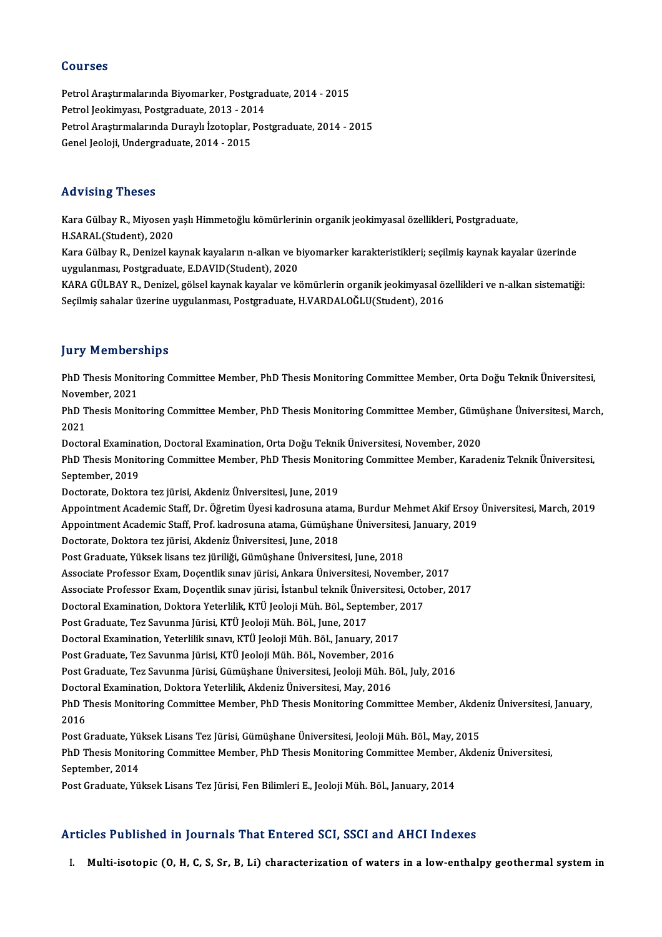## Courses

Courses<br>Petrol Araştırmalarında Biyomarker, Postgraduate, 2014 - 2015<br>Petrol Jeokimyası, Postgraduate, 2012, 2014 Sourses<br>Petrol Araştırmalarında Biyomarker, Postgrad<br>Petrol Jeokimyası, Postgraduate, 2013 - 2014<br>Petrol Arastırmalarında Duraylı İzatonlar, Pos Petrol Araştırmalarında Biyomarker, Postgraduate, 2014 - 2015<br>Petrol Jeokimyası, Postgraduate, 2013 - 2014<br>Petrol Araştırmalarında Duraylı İzotoplar, Postgraduate, 2014 - 2015<br>Canal Jeolaji Undergraduate, 2014 - 2015 Petrol Jeokimyası, Postgraduate, 2013 - 20<br>Petrol Araştırmalarında Duraylı İzotoplar, l<br>Genel Jeoloji, Undergraduate, 2014 - 2015 Genel Jeoloji, Undergraduate, 2014 - 2015<br>Advising Theses

Advising Theses<br>Kara Gülbay R., Miyosen yaşlı Himmetoğlu kömürlerinin organik jeokimyasal özellikleri, Postgraduate,<br>H.SARAL(Student), 2020 111 - 1911 - 1920<br>Kara Gülbay R., Miyosen y<br>H.SARAL(Student), 2020<br>Kara Gülbay B., Donizal ka

Kara Gülbay R., Miyosen yaşlı Himmetoğlu kömürlerinin organik jeokimyasal özellikleri, Postgraduate,<br>H.SARAL(Student), 2020<br>Kara Gülbay R., Denizel kaynak kayaların n-alkan ve biyomarker karakteristikleri; seçilmiş kaynak H.SARAL(Student), 2020<br>Kara Gülbay R., Denizel kaynak kayaların n-alkan ve biyomarker karakteristikleri; seçilmiş kaynak kayalar üzerinde<br>uygulanması, Postgraduate, E.DAVID(Student), 2020 Kara Gülbay R., Denizel kaynak kayaların n-alkan ve biyomarker karakteristikleri; seçilmiş kaynak kayalar üzerinde<br>uygulanması, Postgraduate, E.DAVID(Student), 2020<br>KARA GÜLBAY R., Denizel, gölsel kaynak kayalar ve kömürle

uygulanması, Postgraduate, E.DAVID(Student), 2020<br>KARA GÜLBAY R., Denizel, gölsel kaynak kayalar ve kömürlerin organik jeokimyasal ö:<br>Seçilmiş sahalar üzerine uygulanması, Postgraduate, H.VARDALOĞLU(Student), 2016 Seçilmiş sahalar üzerine uygulanması, Postgraduate, H.VARDALOĞLU(Student), 2016<br>Jury Memberships

**Jury Memberships**<br>PhD Thesis Monitoring Committee Member, PhD Thesis Monitoring Committee Member, Orta Doğu Teknik Üniversitesi,<br>Navamber 2021 PhD Thesis Monit<br>November, 2021<br>PhD Thesis Monit PhD Thesis Monitoring Committee Member, PhD Thesis Monitoring Committee Member, Orta Doğu Teknik Üniversitesi,<br>November, 2021<br>PhD Thesis Monitoring Committee Member, PhD Thesis Monitoring Committee Member, Gümüşhane Üniver

Nover<br>PhD T<br>2021<br>Peste PhD Thesis Monitoring Committee Member, PhD Thesis Monitoring Committee Member, Gümü<br>2021<br>Doctoral Examination, Doctoral Examination, Orta Doğu Teknik Üniversitesi, November, 2020<br>PhD Thesis Monitoring Committee Member, Ph

2021<br>Doctoral Examination, Doctoral Examination, Orta Doğu Teknik Üniversitesi, November, 2020<br>PhD Thesis Monitoring Committee Member, PhD Thesis Monitoring Committee Member, Karadeniz Teknik Üniversitesi,<br>Sentember, 2019 Doctoral Examina<br>PhD Thesis Monite<br>September, 2019<br>Doctorate Doktor PhD Thesis Monitoring Committee Member, PhD Thesis Monito<br>September, 2019<br>Doctorate, Doktora tez jürisi, Akdeniz Üniversitesi, June, 2019<br>Anneintment Acedemis Staff, Dr. Öğretim Üyesi kadresuna atal

September, 2019<br>Doctorate, Doktora tez jürisi, Akdeniz Üniversitesi, June, 2019<br>Appointment Academic Staff, Dr. Öğretim Üyesi kadrosuna atama, Burdur Mehmet Akif Ersoy Üniversitesi, March, 2019<br>Appointment Academic Staff, Doctorate, Doktora tez jürisi, Akdeniz Üniversitesi, June, 2019<br>Appointment Academic Staff, Dr. Öğretim Üyesi kadrosuna atama, Burdur Mehmet Akif Ersoy<br>Appointment Academic Staff, Prof. kadrosuna atama, Gümüşhane Üniversit

Appointment Academic Staff, Prof. kadrosuna atama, Gümüşhane Üniversitesi, January, 2019

Doctorate, Doktora tez jürisi, Akdeniz Üniversitesi, June, 2018<br>Post Graduate, Yüksek lisans tez jüriliği, Gümüşhane Üniversitesi, June, 2018

Associate Professor Exam, Doçentlik sınav jürisi, Ankara Üniversitesi, November, 2017 Associate Professor Exam, Doçentlik sınav jürisi, Ankara Üniversitesi, November,<br>Associate Professor Exam, Doçentlik sınav jürisi, İstanbul teknik Üniversitesi, Octo<br>Doctoral Examination, Doktora Yeterlilik, KTÜ Jeoloji Mü

Post Graduate, Yüksek lisans tez jüriliği, Gümüşhane Üniversitesi, June, 2018<br>Associate Professor Exam, Doçentlik sınav jürisi, Ankara Üniversitesi, November, 2017<br>Associate Professor Exam, Doçentlik sınav jürisi, İstanbul Associate Professor Exam, Doçentlik sınav jürisi, İstanbul teknik Üniv<br>Doctoral Examination, Doktora Yeterlilik, KTÜ Jeoloji Müh. Böl., Septe<br>Post Graduate, Tez Savunma Jürisi, KTÜ Jeoloji Müh. Böl., June, 2017<br>Doctoral Ev

Doctoral Examination, Doktora Yeterlilik, KTÜ Jeoloji Müh. Böl., September, 2<br>Post Graduate, Tez Savunma Jürisi, KTÜ Jeoloji Müh. Böl., June, 2017<br>Doctoral Examination, Yeterlilik sınavı, KTÜ Jeoloji Müh. Böl., January, 20

Post Graduate, Tez Savunma Jürisi, KTÜ Jeoloji Müh. Böl., June, 2017<br>Doctoral Examination, Yeterlilik sınavı, KTÜ Jeoloji Müh. Böl., January, 2017<br>Post Graduate, Tez Savunma Jürisi, KTÜ Jeoloji Müh. Böl., November, 2016<br>Po

Post Graduate, Tez Savunma Jürisi, KTÜ Jeoloji Müh. Böl., November, 2016<br>Post Graduate, Tez Savunma Jürisi, Gümüşhane Üniversitesi, Jeoloji Müh. Böl., July, 2016 Post Graduate, Tez Savunma Jürisi, KTÜ Jeoloji Müh. Böl., November, 2016<br>Post Graduate, Tez Savunma Jürisi, Gümüşhane Üniversitesi, Jeoloji Müh. B<br>Doctoral Examination, Doktora Yeterlilik, Akdeniz Üniversitesi, May, 2016<br>P

Post Graduate, Tez Savunma Jürisi, Gümüşhane Üniversitesi, Jeoloji Müh. Böl., July, 2016<br>Doctoral Examination, Doktora Yeterlilik, Akdeniz Üniversitesi, May, 2016<br>PhD Thesis Monitoring Committee Member, PhD Thesis Monitori Docto<br>PhD T<br>2016<br><sup>Post C</sup> PhD Thesis Monitoring Committee Member, PhD Thesis Monitoring Committee Member, Akde<br>2016<br>Post Graduate, Yüksek Lisans Tez Jürisi, Gümüşhane Üniversitesi, Jeoloji Müh. Böl., May, 2015<br>PhD Thesis Monitoring Committee Member

2016<br>Post Graduate, Yüksek Lisans Tez Jürisi, Gümüşhane Üniversitesi, Jeoloji Müh. Böl., May, 2015<br>PhD Thesis Monitoring Committee Member, PhD Thesis Monitoring Committee Member, Akdeniz Üniversitesi,<br>Sentember, 2014 Post Graduate, Yüksek Lisans Tez Jürisi, Gümüşhane Üniversitesi, Jeoloji Müh. Böl., May, 2015<br>PhD Thesis Monitoring Committee Member, PhD Thesis Monitoring Committee Member, Akde<br>September, 2014<br>Post Graduate, Yüksek Lisan PhD Thesis Monitoring Committee Member, PhD Thesis Monitoring Committee Member,<br>September, 2014<br>Post Graduate, Yüksek Lisans Tez Jürisi, Fen Bilimleri E., Jeoloji Müh. Böl., January, 2014

## Articles Published in Journals That Entered SCI, SSCI and AHCI Indexes

I. Multi-isotopic (O, H, C, S, Sr, B, Li) characterization of waters in a low-enthalpy geothermal systemin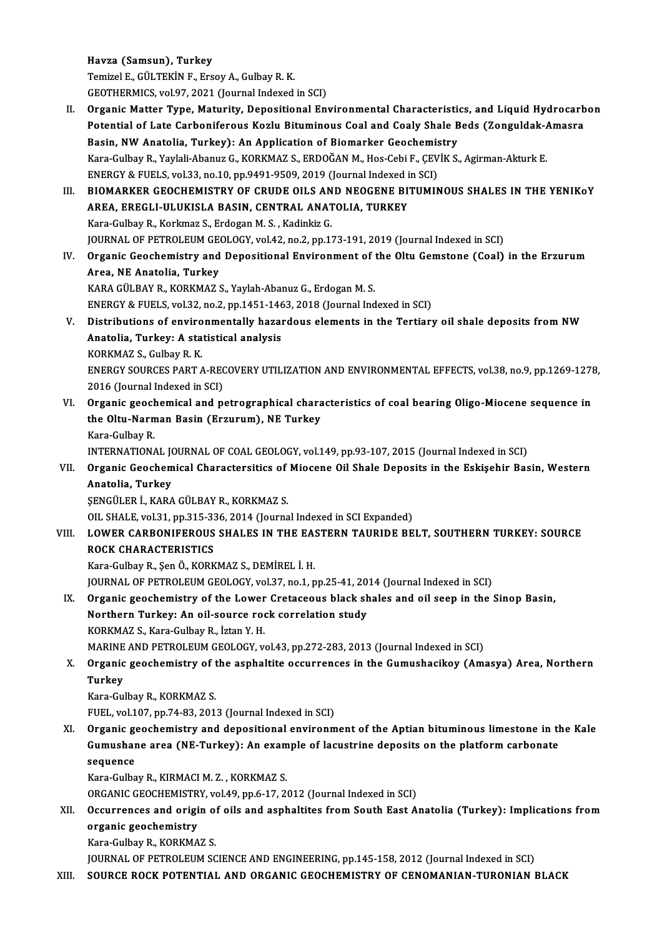Havza (Samsun), Turkey TemizelE.,GÜLTEKİNF.,ErsoyA.,GulbayR.K. GEOTHERMICS, vol.97, 2021 (Journal Indexed in SCI)

Temizel E., GÜLTEKİN F., Ersoy A., Gulbay R. K.<br>GEOTHERMICS, vol.97, 2021 (Journal Indexed in SCI)<br>II. Organic Matter Type, Maturity, Depositional Environmental Characteristics, and Liquid Hydrocarbon<br>Petential of Late Car GEOTHERMICS, vol.97, 2021 (Journal Indexed in SCI)<br>Organic Matter Type, Maturity, Depositional Environmental Characteristics, and Liquid Hydrocarb<br>Potential of Late Carboniferous Kozlu Bituminous Coal and Coaly Shale Beds Organic Matter Type, Maturity, Depositional Environmental Characteristi<br>Potential of Late Carboniferous Kozlu Bituminous Coal and Coaly Shale B<br>Basin, NW Anatolia, Turkey): An Application of Biomarker Geochemistry<br>Kara Cul Potential of Late Carboniferous Kozlu Bituminous Coal and Coaly Shale Beds (Zonguldak-A<br>Basin, NW Anatolia, Turkey): An Application of Biomarker Geochemistry<br>Kara-Gulbay R., Yaylali-Abanuz G., KORKMAZ S., ERDOĞAN M., Hos-C Basin, NW Anatolia, Turkey): An Application of Biomarker Geochemis<br>Kara-Gulbay R., Yaylali-Abanuz G., KORKMAZ S., ERDOĞAN M., Hos-Cebi F., ÇEV<br>ENERGY & FUELS, vol.33, no.10, pp.9491-9509, 2019 (Journal Indexed in SCI)<br>PIOM ENERGY & FUELS, vol.33, no.10, pp.9491-9509, 2019 (Journal Indexed in SCI)<br>III. BIOMARKER GEOCHEMISTRY OF CRUDE OILS AND NEOGENE BITUMINOUS SHALES IN THE YENIKOY

## ENERGY & FUELS, vol.33, no.10, pp.9491-9509, 2019 (Journal Indexed in the BICOMARKER GEOCHEMISTRY OF CRUDE OILS AND NEOGENE BITT<br>AREA, EREGLI-ULUKISLA BASIN, CENTRAL ANATOLIA, TURKEY<br>Kara Gulbay B. Korkmar S. Erdogan M.S. BIOMARKER GEOCHEMISTRY OF CRUDE OILS AN<br>AREA, EREGLI-ULUKISLA BASIN, CENTRAL ANAT<br>Kara-Gulbay R., Korkmaz S., Erdogan M. S. , Kadinkiz G.<br>JOUPNAL OF PETROLEUM CEOLOCY, vol.42, no.2, nn.1. Kara-Gulbay R., Korkmaz S., Erdogan M. S. , Kadinkiz G.<br>JOURNAL OF PETROLEUM GEOLOGY, vol.42, no.2, pp.173-191, 2019 (Journal Indexed in SCI)

IV. Organic Geochemistry and Depositional Environment of the Oltu Gemstone (Coal) in the Erzurum Area, NE Anatolia, Turkey Organic Geochemistry and Depositional Environment of<br>Area, NE Anatolia, Turkey<br>KARA GÜLBAY R., KORKMAZ S., Yaylah-Abanuz G., Erdogan M. S.<br>ENEDCY & EUELS vol 32, no 2, np 1451 1462, 2019 (Journal Ind Area, NE Anatolia, Turkey<br>KARA GÜLBAY R., KORKMAZ S., Yaylah-Abanuz G., Erdogan M. S.<br>ENERGY & FUELS, vol.32, no.2, pp.1451-1463, 2018 (Journal Indexed in SCI)<br>Distributions of environmentally berendous alements in the Ter

- KARA GÜLBAY R., KORKMAZ S., Yaylah-Abanuz G., Erdogan M. S.<br>ENERGY & FUELS, vol.32, no.2, pp.1451-1463, 2018 (Journal Indexed in SCI)<br>V. Distributions of environmentally hazardous elements in the Tertiary oil shale deposit ENERGY & FUELS, vol.32, no.2, pp.1451-1463, 2018 (Journal Indexed in SCI)<br>Distributions of environmentally hazardous elements in the Tertiar<br>Anatolia, Turkey: A statistical analysis<br>KORKMAZ S., Gulbay R. K. Distributions of enviro<br>Anatolia, Turkey: A sta<br>KORKMAZ S., Gulbay R. K.<br>ENEDCY SOUDCES BART Anatolia, Turkey: A statistical analysis<br>KORKMAZ S., Gulbay R. K.<br>ENERGY SOURCES PART A-RECOVERY UTILIZATION AND ENVIRONMENTAL EFFECTS, vol.38, no.9, pp.1269-1278,<br>2016 (Jaurnal Indoved in SCI) KORKMAZ S., Gulbay R. K.<br>ENERGY SOURCES PART A-REC<br>2016 (Journal Indexed in SCI)<br>Organis geochemical and n
- ENERGY SOURCES PART A-RECOVERY UTILIZATION AND ENVIRONMENTAL EFFECTS, vol.38, no.9, pp.1269-1278<br>2016 (Journal Indexed in SCI)<br>VI. Organic geochemical and petrographical characteristics of coal bearing Oligo-Miocene sequen 2016 (Journal Indexed in SCI)<br>Organic geochemical and petrographical chara<br>the Oltu-Narman Basin (Erzurum), NE Turkey<br>Kara Gulbay P **Organic geoch<br>the Oltu-Narn<br>Kara-Gulbay R.<br>INTERNATION** the Oltu-Narman Basin (Erzurum), NE Turkey<br>Kara-Gulbay R.<br>INTERNATIONAL JOURNAL OF COAL GEOLOGY, vol.149, pp.93-107, 2015 (Journal Indexed in SCI)<br>Organia Coochemical Charactereities of Miosene Oil Shale Denosits in the Es

## Kara-Gulbay R.<br>INTERNATIONAL JOURNAL OF COAL GEOLOGY, vol.149, pp.93-107, 2015 (Journal Indexed in SCI)<br>VII. Organic Geochemical Charactersitics of Miocene Oil Shale Deposits in the Eskişehir Basin, Western<br>Anatelia Tu INTERNATIONAL JON<br>Organic Geochem<br>Anatolia, Turkey<br>SENCÜLER İ. KARA Organic Geochemical Charactersitics of<br>Anatolia, Turkey<br>ŞENGÜLER İ., KARA GÜLBAY R., KORKMAZ S.<br>QU. SHALE val 21 np 215 226 2014 (Jaurra Anatolia, Turkey<br>ŞENGÜLER İ., KARA GÜLBAY R., KORKMAZ S.<br>OIL SHALE, vol.31, pp.315-336, 2014 (Journal Indexed in SCI Expanded)

## VIII. LOWER CARBONIFEROUS SHALES IN THE EASTERN TAURIDE BELT, SOUTHERN TURKEY: SOURCE ROCK CHARACTERISTICS ROCK CHARACTERISTICS<br>Kara-Gulbay R., Şen Ö., KORKMAZ S., DEMİREL İ. H.<br>JOURNAL OF PETROLEUM GEOLOGY, vol.37, no.1, pp.25-41, 2014 (Journal Indexed in SCI)<br>Organia geogramistru of the Lourer Cratagoous blask shalse and eil

Kara-GulbayR.,ŞenÖ.,KORKMAZ S.,DEMİREL İ.H.

## IX. Organic geochemistry of the Lower Cretaceous black shales and oil seep in the Sinop Basin, JOURNAL OF PETROLEUM GEOLOGY, vol.37, no.1, pp.25-41, 20<br>Organic geochemistry of the Lower Cretaceous black sh<br>Northern Turkey: An oil-source rock correlation study<br>KORKMAZ S. Kara Culbay P. Istan Y. H Northern Turkey: An oil-source rock correlation study<br>KORKMAZ S., Kara-Gulbav R., İztan Y. H.

MARINE AND PETROLEUM GEOLOGY, vol.43, pp.272-283, 2013 (Journal Indexed in SCI)

# KORKMAZ S., Kara-Gulbay R., İztan Y. H.<br>MARINE AND PETROLEUM GEOLOGY, vol.43, pp.272-283, 2013 (Journal Indexed in SCI)<br>X. Organic geochemistry of the asphaltite occurrences in the Gumushacikoy (Amasya) Area, Northern<br> MARINE<br>Organic<br>Turkey<br>Kara Cu Organic geochemistry of t<br>Turkey<br>Kara-Gulbay R., KORKMAZ S.<br>EUEL vol 107 np 74 93 201

Turkey<br>Kara-Gulbay R., KORKMAZ S.<br>FUEL, vol.107, pp.74-83, 2013 (Journal Indexed in SCI)

Kara-Gulbay R., KORKMAZ S.<br>FUEL, vol.107, pp.74-83, 2013 (Journal Indexed in SCI)<br>XI. Organic geochemistry and depositional environment of the Aptian bituminous limestone in the Kale<br>Cumushane area (NE Turkey): An example FUEL, vol.107, pp.74-83, 2013 (Journal Indexed in SCI)<br>Organic geochemistry and depositional environment of the Aptian bituminous limestone in the platform carbonate<br>Geguence Organic ge<br>Gumushar<br>sequence<br>Kara Culba Gumushane area (NE-Turkey): An example of lacustrine deposits on the platform carbonate sequence<br>sequence<br>Kara-Gulbay R., KIRMACI M. Z., KORKMAZ S. sequence<br>Kara-Gulbay R., KIRMACI M. Z. , KORKMAZ S.<br>ORGANIC GEOCHEMISTRY, vol.49, pp.6-17, 2012 (Journal Indexed in SCI)<br>Qogunnanges and origin of oils and asphaltites from South East A.

## Kara-Gulbay R., KIRMACI M. Z. , KORKMAZ S.<br>ORGANIC GEOCHEMISTRY, vol.49, pp.6-17, 2012 (Journal Indexed in SCI)<br>XII. Occurrences and origin of oils and asphaltites from South East Anatolia (Turkey): Implications from<br>A ORGANIC GEOCHEMISTR<br>Occurrences and origination<br>organic geochemistry<br>Kare Gulbay B, KOBKMA **Occurrences and origin of**<br>organic geochemistry<br>Kara-Gulbay R., KORKMAZ S.<br>JOUPMAL OF PETPOLEUM SC organic geochemistry<br>Kara-Gulbay R., KORKMAZ S.<br>JOURNAL OF PETROLEUM SCIENCE AND ENGINEERING, pp.145-158, 2012 (Journal Indexed in SCI)

## XIII. SOURCE ROCK POTENTIAL AND ORGANIC GEOCHEMISTRY OF CENOMANIAN-TURONIAN BLACK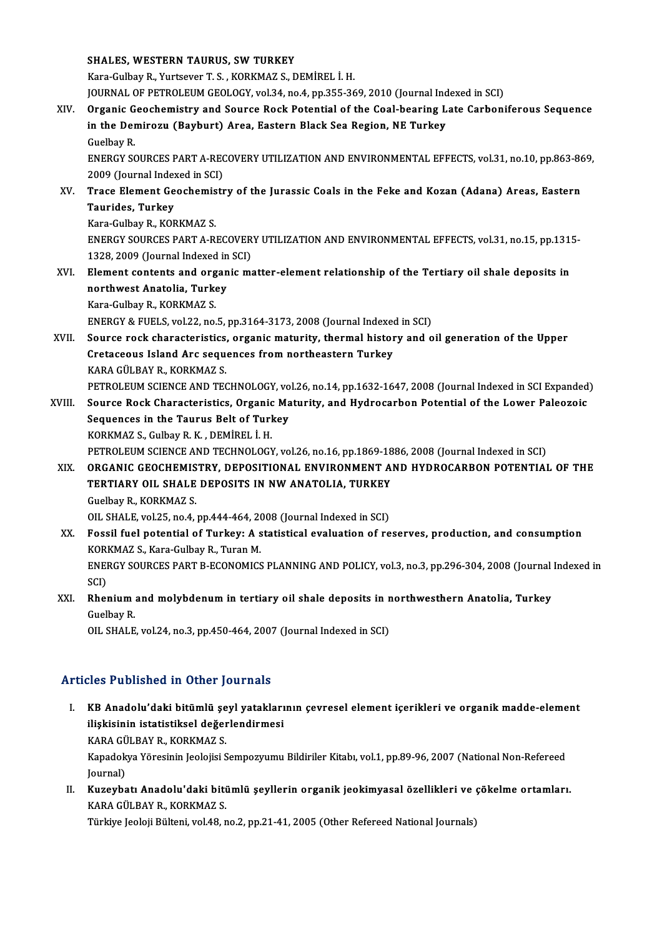|        | <b>SHALES, WESTERN TAURUS, SW TURKEY</b>                                                               |
|--------|--------------------------------------------------------------------------------------------------------|
|        | Kara-Gulbay R., Yurtsever T. S., KORKMAZ S., DEMIREL I. H.                                             |
|        | JOURNAL OF PETROLEUM GEOLOGY, vol.34, no.4, pp.355-369, 2010 (Journal Indexed in SCI)                  |
| XIV.   | Organic Geochemistry and Source Rock Potential of the Coal-bearing Late Carboniferous Sequence         |
|        | in the Demirozu (Bayburt) Area, Eastern Black Sea Region, NE Turkey                                    |
|        | Guelbay R.                                                                                             |
|        | ENERGY SOURCES PART A-RECOVERY UTILIZATION AND ENVIRONMENTAL EFFECTS, vol.31, no.10, pp.863-869,       |
|        | 2009 (Journal Indexed in SCI)                                                                          |
| XV.    | Trace Element Geochemistry of the Jurassic Coals in the Feke and Kozan (Adana) Areas, Eastern          |
|        | Taurides, Turkey                                                                                       |
|        | Kara-Gulbay R., KORKMAZ S.                                                                             |
|        | ENERGY SOURCES PART A-RECOVERY UTILIZATION AND ENVIRONMENTAL EFFECTS, vol.31, no.15, pp.1315-          |
|        | 1328, 2009 (Journal Indexed in SCI)                                                                    |
| XVI.   | Element contents and organic matter-element relationship of the Tertiary oil shale deposits in         |
|        | northwest Anatolia, Turkey                                                                             |
|        | Kara-Gulbay R., KORKMAZ S.                                                                             |
|        | ENERGY & FUELS, vol.22, no.5, pp.3164-3173, 2008 (Journal Indexed in SCI)                              |
| XVII.  | Source rock characteristics, organic maturity, thermal history and oil generation of the Upper         |
|        | Cretaceous Island Arc sequences from northeastern Turkey                                               |
|        | KARA GÜLBAY R., KORKMAZ S.                                                                             |
|        | PETROLEUM SCIENCE AND TECHNOLOGY, vol.26, no.14, pp.1632-1647, 2008 (Journal Indexed in SCI Expanded)  |
| XVIII. | Source Rock Characteristics, Organic Maturity, and Hydrocarbon Potential of the Lower Paleozoic        |
|        | Sequences in the Taurus Belt of Turkey                                                                 |
|        | KORKMAZ S., Gulbay R. K., DEMİREL İ. H.                                                                |
|        | PETROLEUM SCIENCE AND TECHNOLOGY, vol.26, no.16, pp.1869-1886, 2008 (Journal Indexed in SCI)           |
| XIX.   | ORGANIC GEOCHEMISTRY, DEPOSITIONAL ENVIRONMENT AND HYDROCARBON POTENTIAL OF THE                        |
|        | TERTIARY OIL SHALE DEPOSITS IN NW ANATOLIA, TURKEY                                                     |
|        | Guelbay R., KORKMAZ S.                                                                                 |
|        | OIL SHALE, vol.25, no.4, pp.444-464, 2008 (Journal Indexed in SCI)                                     |
| XX.    | Fossil fuel potential of Turkey: A statistical evaluation of reserves, production, and consumption     |
|        | KORKMAZ S., Kara-Gulbay R., Turan M.                                                                   |
|        | ENERGY SOURCES PART B-ECONOMICS PLANNING AND POLICY, vol.3, no.3, pp.296-304, 2008 (Journal Indexed in |
|        | SCI)                                                                                                   |
| XXI.   | Rhenium and molybdenum in tertiary oil shale deposits in northwesthern Anatolia, Turkey                |
|        | <b>Guelbay R.</b>                                                                                      |
|        | OIL SHALE, vol.24, no.3, pp.450-464, 2007 (Journal Indexed in SCI)                                     |
|        |                                                                                                        |

## Articles Published in Other Journals

rticles Published in Other Journals<br>I. KB Anadolu'daki bitümlü şeyl yataklarının çevresel element içerikleri ve organik madde-element<br>İlişkisinin istatistiksel değerlendirmesi ilisi i disisincu in olifor journalistiksel<br>KB Anadolu'daki bitümlü şeyl yatakları<br>ilişkisinin istatistiksel değerlendirmesi KB Anadolu'daki bitümlü şe<br>ilişkisinin istatistiksel değer<br>KARA GÜLBAY R., KORKMAZ S.<br>Konadelus Yöresinin leelejisi S ilişkisinin istatistiksel değerlendirmesi<br>KARA GÜLBAY R., KORKMAZ S.<br>Kapadokya Yöresinin Jeolojisi Sempozyumu Bildiriler Kitabı, vol.1, pp.89-96, 2007 (National Non-Refereed<br>Journal) KARA GÜLBAY R., KORKMAZ S.

Kapadokya Yöresinin Jeolojisi Sempozyumu Bildiriler Kitabı, vol.1, pp.89-96, 2007 (National Non-Refereed<br>Journal)<br>II. Kuzeybatı Anadolu'daki bitümlü şeyllerin organik jeokimyasal özellikleri ve çökelme ortamları.<br>KARA

Journal)<br><mark>Kuzeybatı Anadolu'daki biti</mark><br>KARA GÜLBAY R., KORKMAZ S.<br>Türkiye Jeoleji Bülteni vel 48 r Kuzeybatı Anadolu'daki bitümlü şeyllerin organik jeokimyasal özellikleri ve (<br>KARA GÜLBAY R., KORKMAZ S.<br>Türkiye Jeoloji Bülteni, vol.48, no.2, pp.21-41, 2005 (Other Refereed National Journals)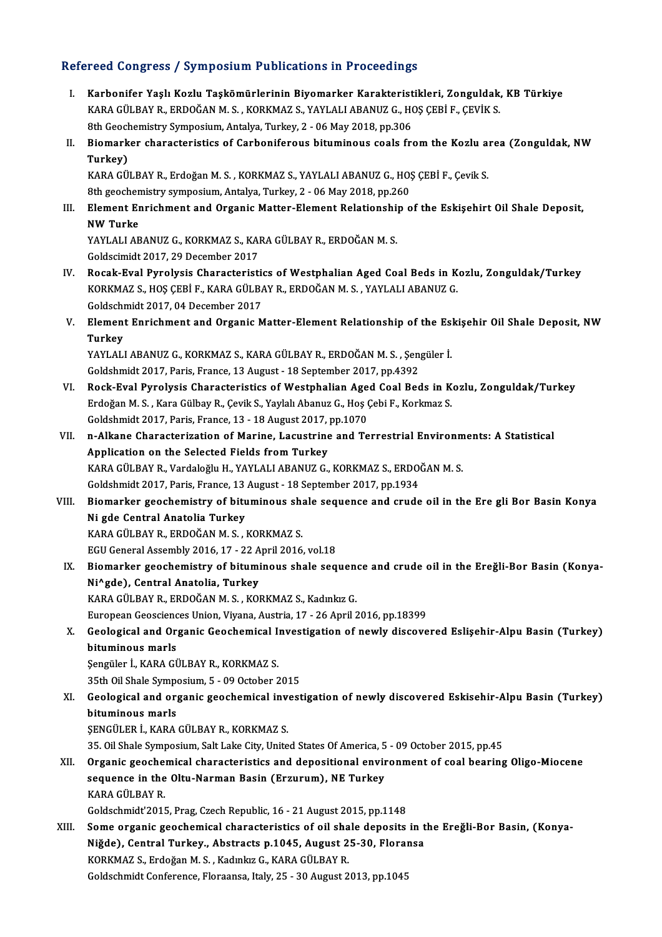## Refereed Congress / Symposium Publications in Proceedings

- efereed Congress / Symposium Publications in Proceedings<br>I. Karbonifer Yaşlı Kozlu Taşkömürlerinin Biyomarker Karakteristikleri, Zonguldak, KB Türkiye<br>KARA CÜLBAY R. FRDQĞAN M.S. KORKMAZ S. XAYLALLARANUZ G. HOS CERLE CEVIK YOCA GÖNGYÖST TÖTMPÖÖLÜM YABRICANDEN TI YÖCCCANGS.<br>Karbonifer Yaşlı Kozlu Taşkömürlerinin Biyomarker Karakteristikleri, Zonguldak,<br>KARA GÜLBAY R., ERDOĞAN M. S. , KORKMAZ S., YAYLALI ABANUZ G., HOŞ ÇEBİ F., ÇEVİK S.<br>8th Co Karbonifer Yaşlı Kozlu Taşkömürlerinin Biyomarker Karakterist<br>KARA GÜLBAY R., ERDOĞAN M.S. , KORKMAZ S., YAYLALI ABANUZ G., HO<br>8th Geochemistry Symposium, Antalya, Turkey, 2 - 06 May 2018, pp.306<br>Biomarkar abarasteristise
- KARA GÜLBAY R., ERDOĞAN M. S. , KORKMAZ S., YAYLALI ABANUZ G., HOŞ ÇEBİ F., ÇEVİK S.<br>8th Geochemistry Symposium, Antalya, Turkey, 2 06 May 2018, pp.306<br>II. Biomarker characteristics of Carboniferous bituminous coals 8th Geoch<br>Biomark<br>Turkey)<br>KARA CÜ Biomarker characteristics of Carboniferous bituminous coals from the Kozlu a:<br>Turkey)<br>KARA GÜLBAY R., Erdoğan M. S. , KORKMAZ S., YAYLALI ABANUZ G., HOŞ ÇEBİ F., Çevik S.<br><sup>9th</sup> Seesbemistry sumposium, Antalya Turkey 2, .06

Turkey)<br>KARA GÜLBAY R., Erdoğan M. S. , KORKMAZ S., YAYLALI ABANUZ G., HO;<br>8th geochemistry symposium, Antalya, Turkey, 2 - 06 May 2018, pp.260<br>Element Ennishment and Organia Matter Element Belationshin e KARA GÜLBAY R., Erdoğan M. S. , KORKMAZ S., YAYLALI ABANUZ G., HOŞ ÇEBİ F., Çevik S.<br>8th geochemistry symposium, Antalya, Turkey, 2 - 06 May 2018, pp.260<br>III. Element Enrichment and Organic Matter-Element Relationship of t

# 8th geochemistry symposium, Antalya, Turkey, 2 - 06 May 2018, pp.260<br>Element Enrichment and Organic Matter-Element Relationship on NW Turke Element Enrichment and Organic Matter-Element Relationshi<br>NW Turke<br>YAYLALI ABANUZ G., KORKMAZ S., KARA GÜLBAY R., ERDOĞAN M. S.<br>Celdssimid: 2017-29 Desember 2017

YAYLALI ABANUZ G., KORKMAZ S., KARA GÜLBAY R., ERDOĞAN M. S.<br>Goldscimidt 2017, 29 December 2017

- IV. Rocak-Eval Pyrolysis Characteristics of Westphalian Aged Coal Beds in Kozlu, Zonguldak/Turkey Goldscimidt 2017, 29 December 2017<br>Rocak-Eval Pyrolysis Characteristics of Westphalian Aged Coal Beds in K<br>KORKMAZ S., HOŞ ÇEBİ F., KARA GÜLBAY R., ERDOĞAN M. S. , YAYLALI ABANUZ G.<br>Coldschmidt 2017, 04 Desember 2017 Rocak-Eval Pyrolysis Characteristi<br>KORKMAZ S., HOŞ ÇEBİ F., KARA GÜLBA<br>Goldschmidt 2017, 04 December 2017<br>Elamant Ennishmant and Oxsanis M KORKMAZ S., HOŞ ÇEBİ F., KARA GÜLBAY R., ERDOĞAN M. S. , YAYLALI ABANUZ G.<br>Goldschmidt 2017, 04 December 2017<br>V. Element Enrichment and Organic Matter-Element Relationship of the Eskişehir Oil Shale Deposit, NW<br>Turkey
- Goldschi<br><mark>Elemen</mark><br>Turkey<br><sup>VAVI ALI</sub></sup> Element Enrichment and Organic Matter-Element Relationship of the Esi<br>Turkey<br>YAYLALI ABANUZ G., KORKMAZ S., KARA GÜLBAY R., ERDOĞAN M. S. , Şengüler İ.<br>Celdebmidt 2017, Paris, Erange 13 August - 18 Santamber 2017, pp. 4292

Turkey<br>YAYLALI ABANUZ G., KORKMAZ S., KARA GÜLBAY R., ERDOĞAN M. S. , Şengüler İ.<br>Goldshmidt 2017, Paris, France, 13 August - 18 September 2017, pp.4392

- YAYLALI ABANUZ G., KORKMAZ S., KARA GÜLBAY R., ERDOĞAN M. S. , Şengüler İ.<br>Goldshmidt 2017, Paris, France, 13 August 18 September 2017, pp.4392<br>VI. Rock-Eval Pyrolysis Characteristics of Westphalian Aged Coal Beds in Koz Goldshmidt 2017, Paris, France, 13 August - 18 September 2017, pp.4392<br>Rock-Eval Pyrolysis Characteristics of Westphalian Aged Coal Beds in K<br>Erdoğan M. S. , Kara Gülbay R., Çevik S., Yaylalı Abanuz G., Hoş Çebi F., Korkma Erdoğan M. S. , Kara Gülbay R., Çevik S., Yaylalı Abanuz G., Hoş Çebi F., Korkmaz S.<br>Goldshmidt 2017, Paris, France, 13 - 18 August 2017, pp.1070 Erdoğan M. S. , Kara Gülbay R., Çevik S., Yaylalı Abanuz G., Hoş Çebi F., Korkmaz S.<br>Goldshmidt 2017, Paris, France, 13 - 18 August 2017, pp.1070<br>VII. n-Alkane Characterization of Marine, Lacustrine and Terrestrial Env
- Goldshmidt 2017, Paris, France, 13 18 August 2017,<br>n-Alkane Characterization of Marine, Lacustrine<br>Application on the Selected Fields from Turkey<br>KARA CÜLBAV B. Vardalağlu H. YAVI ALLABANIIZ C n-Alkane Characterization of Marine, Lacustrine and Terrestrial Environm<br>Application on the Selected Fields from Turkey<br>KARA GÜLBAY R., Vardaloğlu H., YAYLALI ABANUZ G., KORKMAZ S., ERDOĞAN M. S.<br>Celdebmid: 2017, Paris Fra Application on the Selected Fields from Turkey<br>KARA GÜLBAY R., Vardaloğlu H., YAYLALI ABANUZ G., KORKMAZ S., ERDOĞAN M. S. KARA GÜLBAY R., Vardaloğlu H., YAYLALI ABANUZ G., KORKMAZ S., ERDOĞAN M. S.<br>Goldshmidt 2017, Paris, France, 13 August - 18 September 2017, pp.1934<br>VIII. Biomarker geochemistry of bituminous shale sequence and crude oil
- Goldshmidt 2017, Paris, France, 13 August 18 September 2017, pp.1934<br>Biomarker geochemistry of bituminous shale sequence and crude<br>Ni gde Central Anatolia Turkey<br>KARA GÜLBAY R., ERDOĞAN M. S., KORKMAZ S. Biomarker geochemistry of bituminous sh:<br>Ni gde Central Anatolia Turkey<br>KARA GÜLBAY R., ERDOĞAN M. S. , KORKMAZ S.<br>ECU Ceneral Assembly 2016-17 - 22 April 2016 Ni gde Central Anatolia Turkey<br>KARA GÜLBAY R., ERDOĞAN M. S. , KORKMAZ S.<br>EGU General Assembly 2016, 17 - 22 April 2016, vol.18<br>Piemarker geochemistry of bitumineus shale 500 KARA GÜLBAY R., ERDOĞAN M. S. , KORKMAZ S.<br>EGU General Assembly 2016, 17 - 22 April 2016, vol.18<br>IX. Biomarker geochemistry of bituminous shale sequence and crude oil in the Ereğli-Bor Basin (Konya-<br>NiAgde), Central An
- EGU General Assembly 2016, 17 22 A<br>Biomarker geochemistry of bitumi<br>Ni^gde), Central Anatolia, Turkey<br>KARA CÜLRAV B. EPDOČAN M.S., KOL Biomarker geochemistry of bituminous shale sequeno<br>Ni^gde), Central Anatolia, Turkey<br>KARA GÜLBAY R., ERDOĞAN M. S. , KORKMAZ S., Kadınkız G.<br>Furonean Cosssienses Union, Vivana, Austria, 17,, 26 Anril 3 Ni^gde), Central Anatolia, Turkey<br>KARA GÜLBAY R., ERDOĞAN M. S. , KORKMAZ S., Kadınkız G.<br>European Geosciences Union, Viyana, Austria, 17 - 26 April 2016, pp.18399

KARA GÜLBAY R., ERDOĞAN M. S. , KORKMAZ S., Kadınkız G.<br>European Geosciences Union, Viyana, Austria, 17 - 26 April 2016, pp.18399<br>X. Geological and Organic Geochemical Investigation of newly discovered Eslişehir-Alpu Basin European Geoscienc<br>Geological and Or<br>bituminous marls<br>Sengüler L. KARA CI Geological and Organic Geochemical I:<br>bituminous marls<br>Şengüler İ., KARA GÜLBAY R., KORKMAZ S.<br>25th Qil Shala Sumnasium 5, .00 Ostabar 3 bituminous marls<br>Şengüler İ., KARA GÜLBAY R., KORKMAZ S.<br>35th Oil Shale Symposium, 5 - 09 October 2015<br>Coelegisel and enganis geoghemisel invest

Sengüler İ., KARA GÜLBAY R., KORKMAZ S.<br>35th Oil Shale Symposium, 5 - 09 October 2015<br>XI. Geological and organic geochemical investigation of newly discovered Eskisehir-Alpu Basin (Turkey)<br>hitumineus mark 35th Oil Shale Sympe<br>Geological and org<br>bituminous marls<br>SENCÜLER L. KARA Geological and organic geochemical investinations and state in the Singham Sensing Sengel<br>SENGÜLER İ., KARA GÜLBAY R., KORKMAZ S.<br>25 Oil Shale Sumnosium Selt Lake City Unite bituminous marls<br>ŞENGÜLER İ., KARA GÜLBAY R., KORKMAZ S.<br>35. Oil Shale Symposium, Salt Lake City, United States Of America, 5 - 09 October 2015, pp.45<br>Organia seoskomisel, skapasteristise and depositional anyironment of se

SENGÜLER İ., KARA GÜLBAY R., KORKMAZ S.<br>35. Oil Shale Symposium, Salt Lake City, United States Of America, 5 - 09 October 2015, pp.45<br>XII. Organic geochemical characteristics and depositional environment of coal bearin 35. Oil Shale Symposium, Salt Lake City, United States Of America, 5<br>Organic geochemical characteristics and depositional envir<br>sequence in the Oltu-Narman Basin (Erzurum), NE Turkey<br>KARA CÜLBAV B Organic geoche<br>sequence in the<br>KARA GÜLBAY R.<br>Celdschmidt'2011 sequence in the Oltu-Narman Basin (Erzurum), NE Turkey<br>KARA GÜLBAY R.<br>Goldschmidt'2015, Prag, Czech Republic, 16 - 21 August 2015, pp.1148

XIII. Some organic geochemical characteristics of oil shale deposits in the Ereğli-Bor Basin, (Konya-Goldschmidt'2015, Prag, Czech Republic, 16 - 21 August 2015, pp.1148<br>Some organic geochemical characteristics of oil shale deposits in t<br>Niğde), Central Turkey., Abstracts p.1045, August 25-30, Floransa<br>KORKMAZ S. Erdeğan Some organic geochemical characteristics of oil sha<br>Niğde), Central Turkey., Abstracts p.1045, August 2<br>KORKMAZ S., Erdoğan M. S. , Kadınkız G., KARA GÜLBAY R.<br>Celdschmidt Cenferense, Elersanse, Italy 25, 20 August 2 <mark>Niğde), Central Turkey., Abstracts p.1045, August 25-30, Flora</mark><br>KORKMAZ S., Erdoğan M. S. , Kadınkız G., KARA GÜLBAY R.<br>Goldschmidt Conference, Floraansa, Italy, 25 - 30 August 2013, pp.1045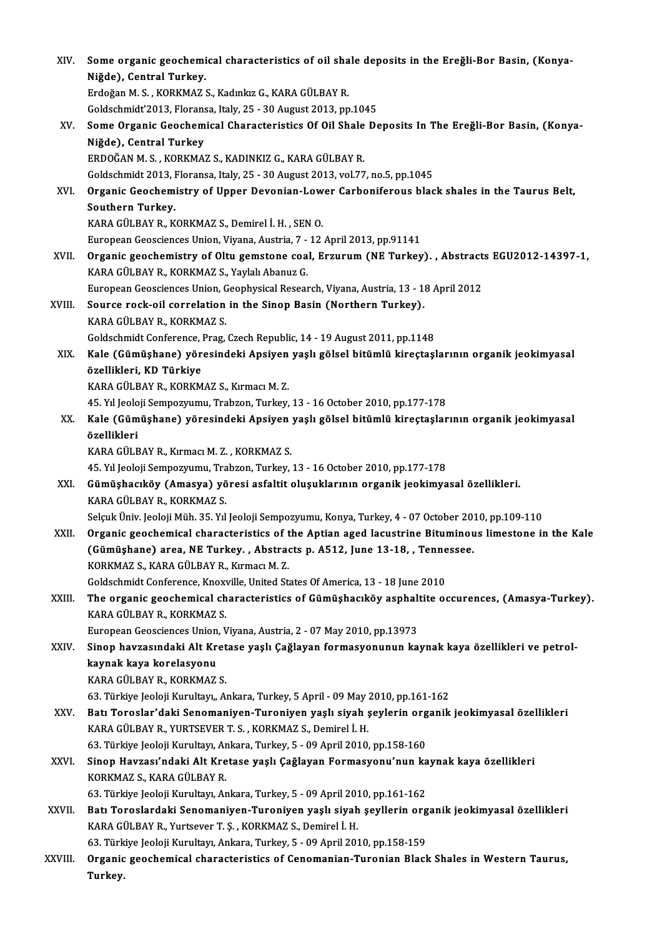| XIV.    | Some organic geochemical characteristics of oil shale deposits in the Ereğli-Bor Basin, (Konya-              |
|---------|--------------------------------------------------------------------------------------------------------------|
|         | Niğde), Central Turkey.                                                                                      |
|         | Erdoğan M. S., KORKMAZ S., Kadınkız G., KARA GÜLBAY R.                                                       |
|         | Goldschmidt'2013, Floransa, Italy, 25 - 30 August 2013, pp.1045                                              |
| XV.     | Some Organic Geochemical Characteristics Of Oil Shale Deposits In The Ereğli-Bor Basin, (Konya-              |
|         | Niğde), Central Turkey                                                                                       |
|         | ERDOĞAN M. S., KORKMAZ S., KADINKIZ G., KARA GÜLBAY R.                                                       |
|         | Goldschmidt 2013, Floransa, Italy, 25 - 30 August 2013, vol.77, no.5, pp.1045                                |
| XVI.    | Organic Geochemistry of Upper Devonian-Lower Carboniferous black shales in the Taurus Belt,                  |
|         | Southern Turkey.                                                                                             |
|         | KARA GÜLBAY R., KORKMAZ S., Demirel İ. H., SEN O.                                                            |
|         | European Geosciences Union, Viyana, Austria, 7 - 12 April 2013, pp.91141                                     |
| XVII.   | Organic geochemistry of Oltu gemstone coal, Erzurum (NE Turkey). , Abstracts EGU2012-14397-1,                |
|         | KARA GÜLBAY R., KORKMAZ S., Yaylalı Abanuz G.                                                                |
|         | European Geosciences Union, Geophysical Research, Viyana, Austria, 13 - 18 April 2012                        |
| XVIII.  | Source rock-oil correlation in the Sinop Basin (Northern Turkey).                                            |
|         | KARA GÜLBAY R., KORKMAZ S.                                                                                   |
|         | Goldschmidt Conference, Prag, Czech Republic, 14 - 19 August 2011, pp.1148                                   |
| XIX.    | Kale (Gümüşhane) yöresindeki Apsiyen yaşlı gölsel bitümlü kireçtaşlarının organik jeokimyasal                |
|         | özellikleri, KD Türkiye                                                                                      |
|         | KARA GÜLBAY R., KORKMAZ S., Kırmacı M. Z.                                                                    |
|         | 45. Yıl Jeoloji Sempozyumu, Trabzon, Turkey, 13 - 16 October 2010, pp.177-178                                |
| XX.     | Kale (Gümüşhane) yöresindeki Apsiyen yaşlı gölsel bitümlü kireçtaşlarının organik jeokimyasal<br>özellikleri |
|         | KARA GÜLBAY R., Kırmacı M. Z., KORKMAZ S.                                                                    |
|         | 45. Yıl Jeoloji Sempozyumu, Trabzon, Turkey, 13 - 16 October 2010, pp.177-178                                |
| XXI.    | Gümüşhacıköy (Amasya) yöresi asfaltit oluşuklarının organik jeokimyasal özellikleri.                         |
|         | KARA GÜLBAY R., KORKMAZ S.                                                                                   |
|         | Selçuk Üniv. Jeoloji Müh. 35. Yıl Jeoloji Sempozyumu, Konya, Turkey, 4 - 07 October 2010, pp.109-110         |
| XXII.   | Organic geochemical characteristics of the Aptian aged lacustrine Bituminous limestone in the Kale           |
|         | (Gümüşhane) area, NE Turkey., Abstracts p. A512, June 13-18, , Tennessee.                                    |
|         | KORKMAZ S., KARA GÜLBAY R., Kırmacı M.Z.                                                                     |
|         | Goldschmidt Conference, Knoxville, United States Of America, 13 - 18 June 2010                               |
| XXIII.  | The organic geochemical characteristics of Gümüşhacıköy asphaltite occurences, (Amasya-Turkey).              |
|         | KARA GÜLBAY R., KORKMAZ S.                                                                                   |
|         | European Geosciences Union, Viyana, Austria, 2 - 07 May 2010, pp.13973                                       |
| XXIV.   | Sinop havzasındaki Alt Kretase yaşlı Çağlayan formasyonunun kaynak kaya özellikleri ve petrol-               |
|         | kaynak kaya korelasyonu                                                                                      |
|         | KARA GÜLBAY R., KORKMAZ S.                                                                                   |
|         | 63. Türkiye Jeoloji Kurultayı,, Ankara, Turkey, 5 April - 09 May 2010, pp.161-162                            |
| XXV -   | Batı Toroslar'daki Senomaniyen-Turoniyen yaşlı siyah şeylerin organik jeokimyasal özellikleri                |
|         | KARA GÜLBAY R., YURTSEVER T. S., KORKMAZ S., Demirel İ. H.                                                   |
|         | 63. Türkiye Jeoloji Kurultayı, Ankara, Turkey, 5 - 09 April 2010, pp.158-160                                 |
| XXVI.   | Sinop Havzası'ndaki Alt Kretase yaşlı Çağlayan Formasyonu'nun kaynak kaya özellikleri                        |
|         | KORKMAZ S, KARA GÜLBAY R.                                                                                    |
|         | 63. Türkiye Jeoloji Kurultayı, Ankara, Turkey, 5 - 09 April 2010, pp.161-162                                 |
| XXVII.  | Batı Toroslardaki Senomaniyen-Turoniyen yaşlı siyah şeyllerin organik jeokimyasal özellikleri                |
|         | KARA GÜLBAY R., Yurtsever T. Ş., KORKMAZ S., Demirel İ. H.                                                   |
|         | 63. Türkiye Jeoloji Kurultayı, Ankara, Turkey, 5 - 09 April 2010, pp.158-159                                 |
| XXVIII. | Organic geochemical characteristics of Cenomanian-Turonian Black Shales in Western Taurus,                   |
|         | Turkey.                                                                                                      |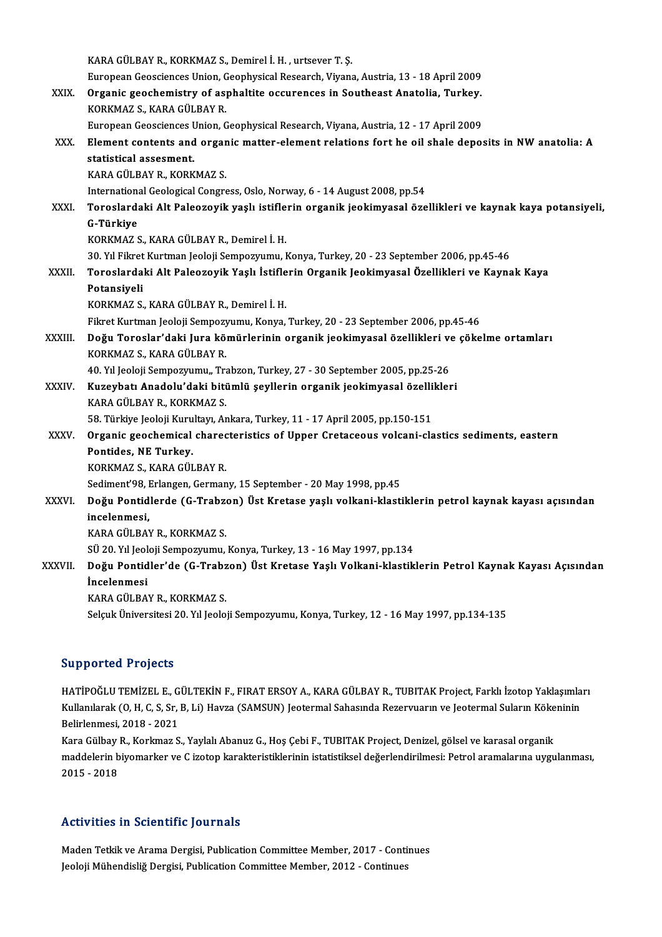|               | KARA GÜLBAY R., KORKMAZ S., Demirel İ. H., urtsever T. Ş.                                                |
|---------------|----------------------------------------------------------------------------------------------------------|
|               | European Geosciences Union, Geophysical Research, Viyana, Austria, 13 - 18 April 2009                    |
| XXIX.         | Organic geochemistry of asphaltite occurences in Southeast Anatolia, Turkey.                             |
|               | KORKMAZ S., KARA GÜLBAY R.                                                                               |
|               | European Geosciences Union, Geophysical Research, Viyana, Austria, 12 - 17 April 2009                    |
| XXX.          | Element contents and organic matter-element relations fort he oil shale deposits in NW anatolia: A       |
|               | statistical assesment.                                                                                   |
|               | KARA GÜLBAY R., KORKMAZ S.                                                                               |
|               | International Geological Congress, Oslo, Norway, 6 - 14 August 2008, pp.54                               |
| XXXI.         | Toroslardaki Alt Paleozoyik yaşlı istiflerin organik jeokimyasal özellikleri ve kaynak kaya potansiyeli, |
|               | G-Türkiye                                                                                                |
|               | KORKMAZ S., KARA GÜLBAY R., Demirel İ.H.                                                                 |
|               | 30. Yıl Fikret Kurtman Jeoloji Sempozyumu, Konya, Turkey, 20 - 23 September 2006, pp.45-46               |
| <b>XXXII</b>  | Toroslardaki Alt Paleozoyik Yaşlı İstiflerin Organik Jeokimyasal Özellikleri ve Kaynak Kaya              |
|               | Potansiyeli                                                                                              |
|               | KORKMAZ S., KARA GÜLBAY R., Demirel İ.H.                                                                 |
|               | Fikret Kurtman Jeoloji Sempozyumu, Konya, Turkey, 20 - 23 September 2006, pp.45-46                       |
| <b>XXXIII</b> | Doğu Toroslar'daki Jura kömürlerinin organik jeokimyasal özellikleri ve çökelme ortamları                |
|               | KORKMAZ S., KARA GÜLBAY R.                                                                               |
|               | 40. Yıl Jeoloji Sempozyumu,, Trabzon, Turkey, 27 - 30 September 2005, pp.25-26                           |
| XXXIV.        | Kuzeybatı Anadolu'daki bitümlü şeyllerin organik jeokimyasal özellikleri                                 |
|               | KARA GÜLBAY R., KORKMAZ S.                                                                               |
|               | 58. Türkiye Jeoloji Kurultayı, Ankara, Turkey, 11 - 17 April 2005, pp.150-151                            |
| XXXV.         | Organic geochemical charecteristics of Upper Cretaceous volcani-clastics sediments, eastern              |
|               | Pontides, NE Turkey.                                                                                     |
|               | KORKMAZ S., KARA GÜLBAY R.                                                                               |
|               | Sediment'98, Erlangen, Germany, 15 September - 20 May 1998, pp.45                                        |
| <b>XXXVI</b>  | Doğu Pontidlerde (G-Trabzon) Üst Kretase yaşlı volkani-klastiklerin petrol kaynak kayası açısından       |
|               | incelenmesi.                                                                                             |
|               | KARA GÜLBAY R., KORKMAZ S.                                                                               |
|               | SÜ 20. Yıl Jeoloji Sempozyumu, Konya, Turkey, 13 - 16 May 1997, pp.134                                   |
| XXXVII.       | Doğu Pontidler'de (G-Trabzon) Üst Kretase Yaşlı Volkani-klastiklerin Petrol Kaynak Kayası Açısından      |
|               | <i>incelenmesi</i>                                                                                       |
|               | KARA GÜLBAY R., KORKMAZ S.                                                                               |
|               | Selçuk Üniversitesi 20. Yıl Jeoloji Sempozyumu, Konya, Turkey, 12 - 16 May 1997, pp.134-135              |
|               |                                                                                                          |

## Supported Projects

Supported Projects<br>HATİPOĞLU TEMİZEL E., GÜLTEKİN F., FIRAT ERSOY A., KARA GÜLBAY R., TUBITAK Project, Farklı İzotop Yaklaşımları<br>Kullanılarak (O. H. G. S.r. B. Li) Hayga (SAMSUN) Jastarmal Sabasında Bazarımarın ve Jastarm Bupportedi Frojeces<br>HATİPOĞLU TEMİZEL E., GÜLTEKİN F., FIRAT ERSOY A., KARA GÜLBAY R., TUBITAK Project, Farklı İzotop Yaklaşımla<br>Kullanılarak (O, H, C, S, Sr, B, Li) Havza (SAMSUN) Jeotermal Sahasında Rezervuarın ve Jeoter HATİPOĞLU TEMİZEL E., G<br>Kullanılarak (O, H, C, S, Sr,<br>Belirlenmesi, 2018 - 2021<br>Kara Gülbay B. Karlımar S Kullanılarak (O, H, C, S, Sr, B, Li) Havza (SAMSUN) Jeotermal Sahasında Rezervuarın ve Jeotermal Suların Kökeninin<br>Belirlenmesi, 2018 - 2021<br>Kara Gülbay R., Korkmaz S., Yaylalı Abanuz G., Hoş Çebi F., TUBITAK Project, Deni maddelerin biyomarker ve C izotop karakteristiklerinin istatistiksel değerlendirilmesi: Petrol aramalarına uygulanması, 2015 -2018

## Activities in Scientific Journals

Activities in Scientific Journals<br>Maden Tetkik ve Arama Dergisi, Publication Committee Member, 2017 - Continues<br>Jeoleji Mühandisliğ Dergisi, Publication Committee Member, 2012 - Continues 11011 VIICO III OCIONIINE JOUI HUID<br>Maden Tetkik ve Arama Dergisi, Publication Committee Member, 2017 - Conti<br>Jeoloji Mühendisliğ Dergisi, Publication Committee Member, 2012 - Continues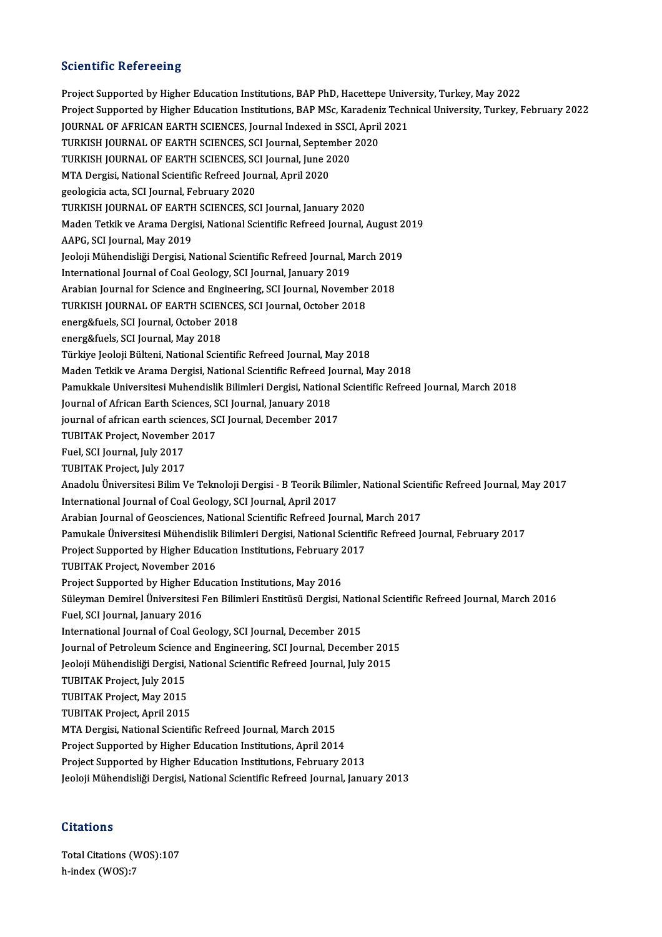## **Scientific Refereeing**

Project Supported by Higher Education Institutions, BAP PhD, Hacettepe University, Turkey, May 2022 Project Supported by Higher Education Institutions, BAP MSc, Karadeniz Technical University, Turkey, February 2022 Project Supported by Higher Education Institutions, BAP PhD, Hacettepe Unive<br>Project Supported by Higher Education Institutions, BAP MSc, Karadeniz Tech<br>JOURNAL OF AFRICAN EARTH SCIENCES, Journal Indexed in SSCI, April 202 Project Supported by Higher Education Institutions, BAP MSc, Karadeni<br>JOURNAL OF AFRICAN EARTH SCIENCES, Journal Indexed in SSCI, April<br>TURKISH JOURNAL OF EARTH SCIENCES, SCI Journal, September 2020<br>TURKISH JOURNAL OF EART JOURNAL OF AFRICAN EARTH SCIENCES, Journal Indexed in SSC<br>TURKISH JOURNAL OF EARTH SCIENCES, SCI Journal, September<br>TURKISH JOURNAL OF EARTH SCIENCES, SCI Journal, June 2020<br>MTA Dorgisi National Scientific Befreed Journal, TURKISH JOURNAL OF EARTH SCIENCES, SCI Journal, September 2020<br>TURKISH JOURNAL OF EARTH SCIENCES, SCI Journal, June 2020<br>MTA Dergisi, National Scientific Refreed Journal, April 2020<br>geologicia acta, SCI Journal, February 2 MTA Dergisi, National Scientific Refreed Journal, April 2020 TURKISH JOURNAL OF EARTH SCIENCES, SCI Journal, January 2020 geologicia acta, SCI Journal, February 2020<br>TURKISH JOURNAL OF EARTH SCIENCES, SCI Journal, January 2020<br>Maden Tetkik ve Arama Dergisi, National Scientific Refreed Journal, August 2019<br>AARC, SCI Journal, May 2010 TURKISH JOURNAL OF EARTH<br>Maden Tetkik ve Arama Dergi<br>AAPG, SCI Journal, May 2019<br>Jooloji Mühandisliği Dergisi N Maden Tetkik ve Arama Dergisi, National Scientific Refreed Journal, August 2<br>AAPG, SCI Journal, May 2019<br>Jeoloji Mühendisliği Dergisi, National Scientific Refreed Journal, March 2019<br>International Journal of Coal Coology, AAPG, SCI Journal, May 2019<br>Jeoloji Mühendisliği Dergisi, National Scientific Refreed Journal, M<br>International Journal of Coal Geology, SCI Journal, January 2019<br>Arabian Journal for Science and Engineering, SCI Journal, No Jeoloji Mühendisliği Dergisi, National Scientific Refreed Journal, March 2019<br>International Journal of Coal Geology, SCI Journal, January 2019<br>Arabian Journal for Science and Engineering, SCI Journal, November 2018<br>TURKISH International Journal of Coal Geology, SCI Journal, January 2019<br>Arabian Journal for Science and Engineering, SCI Journal, November<br>TURKISH JOURNAL OF EARTH SCIENCES, SCI Journal, October 2018<br>2005 <sup>SCI</sup> Journal, October 2 Arabian Journal for Science and Engine<br>TURKISH JOURNAL OF EARTH SCIENCES<br>energ&fuels, SCI Journal, October 2018<br>anarg&fuels, SCI Journal, May 2019 TURKISH JOURNAL OF EARTH SCIEN<br>energ&fuels, SCI Journal, October 20<br>energ&fuels, SCI Journal, May 2018<br>Türkiye Jooloji Bültoni, National Scio energ&fuels, SCI Journal, May 2018<br>Türkiye Jeoloji Bülteni, National Scientific Refreed Journal, May 2018 energ&fuels, SCI Journal, May 2018<br>Türkiye Jeoloji Bülteni, National Scientific Refreed Journal, May 2018<br>Maden Tetkik ve Arama Dergisi, National Scientific Refreed Journal, May 2018<br>Pamukkala Universitesi Muhandialik Bili Türkiye Jeoloji Bülteni, National Scientific Refreed Journal, May 2018<br>Maden Tetkik ve Arama Dergisi, National Scientific Refreed Journal, May 2018<br>Pamukkale Universitesi Muhendislik Bilimleri Dergisi, National Scientific Maden Tetkik ve Arama Dergisi, National Scientific Refreed Journal (Scientific Refreed Journal, Journal, Journal, January<br>Journal of African Earth Sciences, SCI Journal, January 2018<br>Journal of african carth sciences, SCI Pamukkale Universitesi Muhendislik Bilimleri Dergisi, National<br>Journal of African Earth Sciences, SCI Journal, January 2018<br>journal of african earth sciences, SCI Journal, December 2017<br>TURITAK Preject November 2017 Journal of African Earth Sciences, S<br>journal of african earth sciences, S<br>TUBITAK Project, November 2017<br>Fuel SCI Journal July 2017 **journal of african earth scie:<br>TUBITAK Project, November<br>Fuel, SCI Journal, July 2017<br>TUBITAK Project, July 2017** TUBITAK Project, November 2017<br>Fuel, SCI Journal, July 2017<br>TUBITAK Project, July 2017 Fuel, SCI Journal, July 2017<br>TUBITAK Project, July 2017<br>Anadolu Üniversitesi Bilim Ve Teknoloji Dergisi - B Teorik Bilimler, National Scientific Refreed Journal, May 2017 TUBITAK Project, July 2017<br>Anadolu Üniversitesi Bilim Ve Teknoloji Dergisi - B Teorik Bilir<br>International Journal of CoalGeology, SCI Journal, April 2017<br>Arabian Journal of Coassianses, National Scientific Befreed Jou Anadolu Üniversitesi Bilim Ve Teknoloji Dergisi - B Teorik Bilimler, National Scien<br>International Journal of Coal Geology, SCI Journal, April 2017<br>Arabian Journal of Geosciences, National Scientific Refreed Journal, March International Journal of Coal Geology, SCI Journal, April 2017<br>Arabian Journal of Geosciences, National Scientific Refreed Journal, March 2017<br>Pamukale Üniversitesi Mühendislik Bilimleri Dergisi, National Scientific Refree Arabian Journal of Geosciences, National Scientific Refreed Journal, l<br>Pamukale Üniversitesi Mühendislik Bilimleri Dergisi, National Scienti<br>Project Supported by Higher Education Institutions, February 2017<br>TURITAK Broject Pamukale Üniversitesi Mühendislik<br>Project Supported by Higher Educa<br>TUBITAK Project, November 2016<br>Project Supported by Higher Educa Project Supported by Higher Education Institutions, February 2<br>TUBITAK Project, November 2016<br>Project Supported by Higher Education Institutions, May 2016<br>Sülayman Domirel Üniversitesi Een Bilimleri Enstitüsü Dergisi I TUBITAK Project, November 2016<br>Project Supported by Higher Education Institutions, May 2016<br>Süleyman Demirel Üniversitesi Fen Bilimleri Enstitüsü Dergisi, National Scientific Refreed Journal, March 2016<br>Fuel SCI Journal, J Project Supported by Higher Ed<br>Süleyman Demirel Üniversitesi F<br>Fuel, SCI Journal, January 2016<br>International Journal of Coal Co Süleyman Demirel Üniversitesi Fen Bilimleri Enstitüsü Dergisi, National, January 2016<br>Fuel, SCI Journal, January 2016<br>International Journal of Coal Geology, SCI Journal, December 2015<br>Journal of Betreleum Science and Engin Fuel, SCI Journal, January 2016<br>International Journal of Coal Geology, SCI Journal, December 2015<br>Journal of Petroleum Science and Engineering, SCI Journal, December 2015<br>Joeleji Mühandieliği Dergisi, National Scientific B International Journal of Coal Geology, SCI Journal, December 2015<br>Journal of Petroleum Science and Engineering, SCI Journal, December 201<br>Jeoloji Mühendisliği Dergisi, National Scientific Refreed Journal, July 2015<br>TURITAK Journal of Petroleum Scienc<br>Jeoloji Mühendisliği Dergisi,<br>TUBITAK Project, July 2015<br>TUBITAK Project, May 2015 Jeoloji Mühendisliği Dergisi, National Scientific Refreed Journal, July 2015<br>TUBITAK Project, July 2015<br>TUBITAK Project, May 2015 TUBITAK Project, April 2015 MTA Dergisi, National Scientific Refreed Journal, March 2015 Project Supported by Higher Education Institutions, April 2014 Project Supported by Higher Education Institutions, February 2013 Jeoloji Mühendisliği Dergisi, National Scientific Refreed Journal, January 2013

## **Citations**

Total Citations (WOS):107 h-index (WOS):7